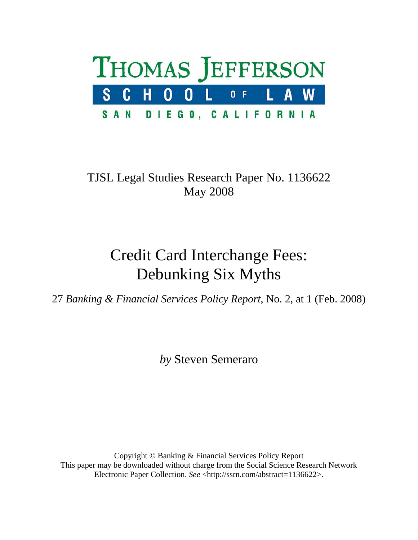

### TJSL Legal Studies Research Paper No. 1136622 May 2008

# Credit Card Interchange Fees: Debunking Six Myths

27 *Banking & Financial Services Policy Report*, No. 2, at 1 (Feb. 2008)

*by* Steven Semeraro

Copyright © Banking & Financial Services Policy Report This paper may be downloaded without charge from the Social Science Research Network Electronic Paper Collection. *See* <http://ssrn.com/abstract=1136622>.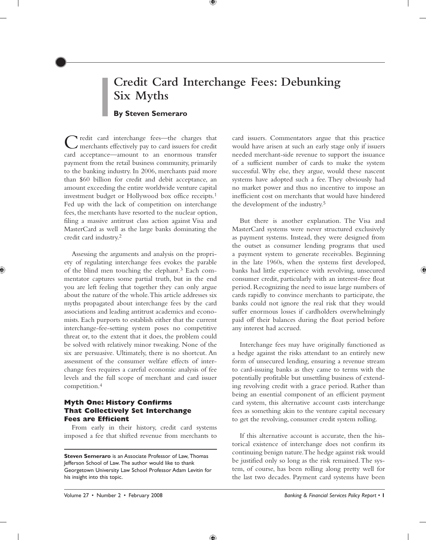## **Credit Card Interchange Fees: Debunking Six Myths**

 $^\circledast$ 

#### **By Steven Semeraro**

Credit card interchange fees—the charges that merchants effectively pay to card issuers for credit card acceptance—amount to an enormous transfer payment from the retail business community, primarily to the banking industry. In 2006, merchants paid more than \$60 billion for credit and debit acceptance, an amount exceeding the entire worldwide venture capital investment budget or Hollywood box office receipts. 1 Fed up with the lack of competition on interchange fees, the merchants have resorted to the nuclear option, filing a massive antitrust class action against Visa and MasterCard as well as the large banks dominating the credit card industry. 2

Assessing the arguments and analysis on the propriety of regulating interchange fees evokes the parable of the blind men touching the elephant.<sup>3</sup> Each commentator captures some partial truth, but in the end you are left feeling that together they can only argue about the nature of the whole. This article addresses six myths propagated about interchange fees by the card associations and leading antitrust academics and economists. Each purports to establish either that the current interchange-fee-setting system poses no competitive threat or, to the extent that it does, the problem could be solved with relatively minor tweaking. None of the six are persuasive. Ultimately, there is no shortcut. An assessment of the consumer welfare effects of interchange fees requires a careful economic analysis of fee levels and the full scope of merchant and card issuer competition. 4

#### **Myth One: History Confirms That Collectively Set Interchange Fees are Efficient**

From early in their history, credit card systems imposed a fee that shifted revenue from merchants to card issuers. Commentators argue that this practice would have arisen at such an early stage only if issuers needed merchant-side revenue to support the issuance of a sufficient number of cards to make the system successful. Why else, they argue, would these nascent systems have adopted such a fee. They obviously had no market power and thus no incentive to impose an inefficient cost on merchants that would have hindered the development of the industry.<sup>5</sup>

But there is another explanation. The Visa and MasterCard systems were never structured exclusively as payment systems. Instead, they were designed from the outset as consumer lending programs that used a payment system to generate receivables. Beginning in the late 1960s, when the systems first developed, banks had little experience with revolving, unsecured consumer credit, particularly with an interest-free float period. Recognizing the need to issue large numbers of cards rapidly to convince merchants to participate, the banks could not ignore the real risk that they would suffer enormous losses if cardholders overwhelmingly paid off their balances during the float period before any interest had accrued.

Interchange fees may have originally functioned as a hedge against the risks attendant to an entirely new form of unsecured lending, ensuring a revenue stream to card-issuing banks as they came to terms with the potentially profitable but unsettling business of extending revolving credit with a grace period. Rather than being an essential component of an efficient payment card system, this alternative account casts interchange fees as something akin to the venture capital necessary to get the revolving, consumer credit system rolling.

If this alternative account is accurate, then the historical existence of interchange does not confirm its continuing benign nature. The hedge against risk would be justified only so long as the risk remained. The system, of course, has been rolling along pretty well for the last two decades. Payment card systems have been

**Steven Semeraro** is an Associate Professor of Law, Thomas Jefferson School of Law. The author would like to thank Georgetown University Law School Professor Adam Levitin for his insight into this topic.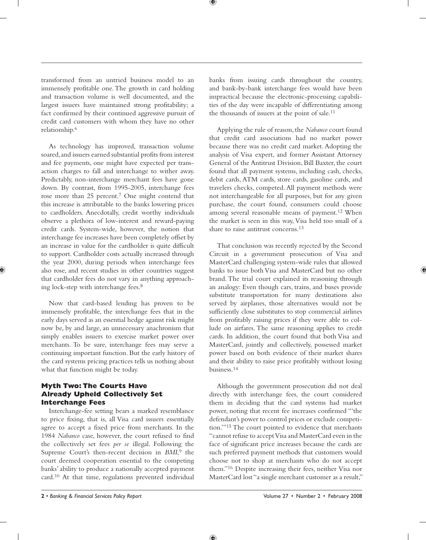transformed from an untried business model to an immensely profitable one. The growth in card holding and transaction volume is well documented, and the largest issuers have maintained strong profitability; a fact confirmed by their continued aggressive pursuit of credit card customers with whom they have no other relationship. 6

As technology has improved, transaction volume soared, and issuers earned substantial profits from interest and fee payments, one might have expected per transaction charges to fall and interchange to wither away. Predictably, non-interchange merchant fees have gone down. By contrast, from 1995-2005, interchange fees rose more than 25 percent.<sup>7</sup> One might contend that this increase is attributable to the banks lowering prices to cardholders. Anecdotally, credit worthy individuals observe a plethora of low-interest and reward-paying credit cards. System-wide, however, the notion that interchange fee increases have been completely offset by an increase in value for the cardholder is quite difficult to support. Cardholder costs actually increased through the year 2000, during periods when interchange fees also rose, and recent studies in other countries suggest that cardholder fees do not vary in anything approaching lock-step with interchange fees. 8

Now that card-based lending has proven to be immensely profitable, the interchange fees that in the early days served as an essential hedge against risk might now be, by and large, an unnecessary anachronism that simply enables issuers to exercise market power over merchants. To be sure, interchange fees may serve a continuing important function. But the early history of the card systems pricing practices tells us nothing about what that function might be today.

#### **Myth Two: The Courts Have Already Upheld Collectively Set Interchange Fees**

Interchange-fee setting bears a marked resemblance to price fixing, that is, all Visa card issuers essentially agree to accept a fixed price from merchants. In the 1984 *Nabanco* case, however, the court refused to find the collectively set fees *per se* illegal. Following the Supreme Court's then-recent decision in *BMI*,<sup>9</sup> the court deemed cooperation essential to the competing banks' ability to produce a nationally accepted payment card. 10 At that time, regulations prevented individual banks from issuing cards throughout the country, and bank-by-bank interchange fees would have been impractical because the electronic-processing capabilities of the day were incapable of differentiating among the thousands of issuers at the point of sale.<sup>11</sup>

Applying the rule of reason, the *Nabanco* court found that credit card associations had no market power because there was no credit card market. Adopting the analysis of Visa expert, and former Assistant Attorney General of the Antitrust Division, Bill Baxter, the court found that all payment systems, including cash, checks, debit cards, ATM cards, store cards, gasoline cards, and travelers checks, competed. All payment methods were not interchangeable for all purposes, but for any given purchase, the court found, consumers could choose among several reasonable means of payment. 12 When the market is seen in this way, Visa held too small of a share to raise antitrust concerns. 13

That conclusion was recently rejected by the Second Circuit in a government prosecution of Visa and MasterCard challenging system-wide rules that allowed banks to issue both Visa and MasterCard but no other brand. The trial court explained its reasoning through an analogy: Even though cars, trains, and buses provide substitute transportation for many destinations also served by airplanes, those alternatives would not be sufficiently close substitutes to stop commercial airlines from profitably raising prices if they were able to collude on airfares. The same reasoning applies to credit cards. In addition, the court found that both Visa and MasterCard, jointly and collectively, possessed market power based on both evidence of their market shares and their ability to raise price profitably without losing business. 14

Although the government prosecution did not deal directly with interchange fees, the court considered them in deciding that the card systems had market power, noting that recent fee increases confirmed "'the defendant's power to control prices or exclude competition.'" 15 The court pointed to evidence that merchants "cannot refuse to accept Visa and MasterCard even in the face of significant price increases because the cards are such preferred payment methods that customers would choose not to shop at merchants who do not accept them."<sup>16</sup> Despite increasing their fees, neither Visa nor MasterCard lost "a single merchant customer as a result,"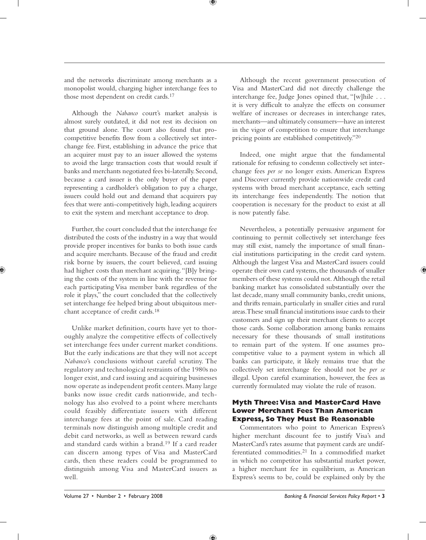and the networks discriminate among merchants as a monopolist would, charging higher interchange fees to those most dependent on credit cards. 17

♥

Although the *Nabanco* court's market analysis is almost surely outdated, it did not rest its decision on that ground alone. The court also found that procompetitive benefits flow from a collectively set interchange fee. First, establishing in advance the price that an acquirer must pay to an issuer allowed the systems to avoid the large transaction costs that would result if banks and merchants negotiated fees bi-laterally. Second, because a card issuer is the only buyer of the paper representing a cardholder's obligation to pay a charge, issuers could hold out and demand that acquirers pay fees that were anti-competitively high, leading acquirers to exit the system and merchant acceptance to drop.

Further, the court concluded that the interchange fee distributed the costs of the industry in a way that would provide proper incentives for banks to both issue cards and acquire merchants. Because of the fraud and credit risk borne by issuers, the court believed, card issuing had higher costs than merchant acquiring. "[B]y bringing the costs of the system in line with the revenue for each participating Visa member bank regardless of the role it plays," the court concluded that the collectively set interchange fee helped bring about ubiquitous merchant acceptance of credit cards. 18

Unlike market definition, courts have yet to thoroughly analyze the competitive effects of collectively set interchange fees under current market conditions. But the early indications are that they will not accept *Nabanco*'s conclusions without careful scrutiny. The regulatory and technological restraints of the 1980s no longer exist, and card issuing and acquiring businesses now operate as independent profit centers. Many large banks now issue credit cards nationwide, and technology has also evolved to a point where merchants could feasibly differentiate issuers with different interchange fees at the point of sale. Card reading terminals now distinguish among multiple credit and debit card networks, as well as between reward cards and standard cards within a brand. 19 If a card reader can discern among types of Visa and MasterCard cards, then these readers could be programmed to distinguish among Visa and MasterCard issuers as well.

Although the recent government prosecution of Visa and MasterCard did not directly challenge the interchange fee, Judge Jones opined that, "[w]hile . . . it is very difficult to analyze the effects on consumer welfare of increases or decreases in interchange rates, merchants—and ultimately consumers—have an interest in the vigor of competition to ensure that interchange pricing points are established competitively."20

Indeed, one might argue that the fundamental rationale for refusing to condemn collectively set interchange fees *per se* no longer exists. American Express and Discover currently provide nationwide credit card systems with broad merchant acceptance, each setting its interchange fees independently. The notion that cooperation is necessary for the product to exist at all is now patently false.

Nevertheless, a potentially persuasive argument for continuing to permit collectively set interchange fees may still exist, namely the importance of small financial institutions participating in the credit card system. Although the largest Visa and MasterCard issuers could operate their own card systems, the thousands of smaller members of these systems could not. Although the retail banking market has consolidated substantially over the last decade, many small community banks, credit unions, and thrifts remain, particularly in smaller cities and rural areas. These small financial institutions issue cards to their customers and sign up their merchant clients to accept those cards. Some collaboration among banks remains necessary for these thousands of small institutions to remain part of the system. If one assumes procompetitive value to a payment system in which all banks can participate, it likely remains true that the collectively set interchange fee should not be *per se* illegal. Upon careful examination, however, the fees as currently formulated may violate the rule of reason.

#### **Myth Three: Visa and MasterCard Have Lower Merchant Fees Than American Express, So They Must Be Reasonable**

Commentators who point to American Express's higher merchant discount fee to justify Visa's and MasterCard's rates assume that payment cards are undifferentiated commodities. 21 In a commodified market in which no competitor has substantial market power, a higher merchant fee in equilibrium, as American Express's seems to be, could be explained only by the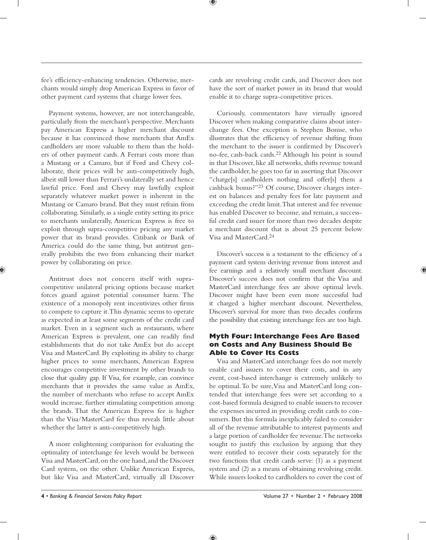fee's efficiency-enhancing tendencies. Otherwise, merchants would simply drop American Express in favor of other payment card systems that charge lower fees.

Payment systems, however, are not interchangeable, particularly from the merchant's perspective. Merchants pay American Express a higher merchant discount because it has convinced those merchants that AmEx cardholders are more valuable to them than the holders of other payment cards. A Ferrari costs more than a Mustang or a Camaro, but if Ford and Chevy collaborate, their prices will be anti-competitively high, albeit still lower than Ferrari's unilaterally set and hence lawful price. Ford and Chevy may lawfully exploit separately whatever market power is inherent in the Mustang or Camaro brand. But they must refrain from collaborating. Similarly, as a single entity setting its price to merchants unilaterally, American Express is free to exploit through supra-competitive pricing any market power that its brand provides. Citibank or Bank of America could do the same thing, but antitrust generally prohibits the two from enhancing their market power by collaborating on price.

Antitrust does not concern itself with supracompetitive unilateral pricing options because market forces guard against potential consumer harm. The existence of a monopoly rent incentivizes other firms to compete to capture it. This dynamic seems to operate as expected in at least some segments of the credit card market. Even in a segment such as restaurants, where American Express is prevalent, one can readily find establishments that do not take AmEx but do accept Visa and MasterCard. By exploiting its ability to charge higher prices to some merchants, American Express encourages competitive investment by other brands to close that quality gap. If Visa, for example, can convince merchants that it provides the same value as AmEx, the number of merchants who refuse to accept AmEx would increase, further stimulating competition among the brands. That the American Express fee is higher than the Visa/MasterCard fee thus reveals little about whether the latter is anti-competitively high.

A more enlightening comparison for evaluating the optimality of interchange fee levels would be between Visa and MasterCard, on the one hand, and the Discover Card system, on the other. Unlike American Express, but like Visa and MasterCard, virtually all Discover

cards are revolving credit cards, and Discover does not have the sort of market power in its brand that would enable it to charge supra-competitive prices.

♥

Curiously, commentators have virtually ignored Discover when making comparative claims about interchange fees. One exception is Stephen Bomse, who illustrates that the efficiency of revenue shifting from the merchant to the issuer is confirmed by Discover's no-fee, cash-back cards. 22 Although his point is sound in that Discover, like all networks, shifts revenue toward the cardholder, he goes too far in asserting that Discover "charge[s] cardholders nothing and offer[s] them a cashback bonus?"<sup>23</sup> Of course, Discover charges interest on balances and penalty fees for late payment and exceeding the credit limit. That interest and fee revenue has enabled Discover to become, and remain, a successful credit card issuer for more than two decades despite a merchant discount that is about 25 percent below Visa and MasterCard. 24

Discover's success is a testament to the efficiency of a payment card system deriving revenue from interest and fee earnings and a relatively small merchant discount. Discover's success does not confirm that the Visa and MasterCard interchange fees are above optimal levels. Discover might have been even more successful had it charged a higher merchant discount. Nevertheless, Discover's survival for more than two decades confirms the possibility that existing interchange fees are too high.

#### **Myth Four: Interchange Fees Are Based on Costs and Any Business Should Be Able to Cover Its Costs**

Visa and MasterCard interchange fees do not merely enable card issuers to cover their costs, and in any event, cost-based interchange is extremely unlikely to be optimal. To be sure, Visa and MasterCard long contended that interchange fees were set according to a cost-based formula designed to enable issuers to recover the expenses incurred in providing credit cards to consumers. But this formula inexplicably failed to consider all of the revenue attributable to interest payments and a large portion of cardholder fee revenue. The networks sought to justify this exclusion by arguing that they were entitled to recover their costs separately for the two functions that credit cards serve: (1) as a payment system and (2) as a means of obtaining revolving credit. While issuers looked to cardholders to cover the cost of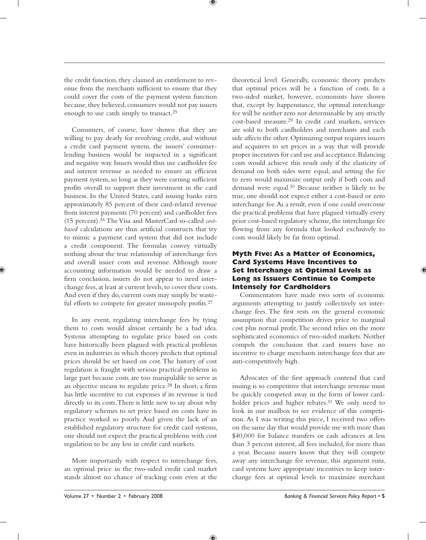♥

the credit function, they claimed an entitlement to revenue from the merchants sufficient to ensure that they could cover the costs of the payment system function because, they believed, consumers would not pay issuers enough to use cards simply to transact.<sup>25</sup>

Consumers, of course, have shown that they are willing to pay dearly for revolving credit, and without a credit card payment system, the issuers' consumerlending business would be impacted in a significant and negative way. Issuers would thus use cardholder fee and interest revenue as needed to ensure an efficient payment system, so long as they were earning sufficient profits overall to support their investment in the card business. In the United States, card issuing banks earn approximately 85 percent of their card-related revenue from interest payments (70 percent) and cardholder fees (15 percent). 26 The Visa and MasterCard so-called *costbased* calculations are thus artificial constructs that try to mimic a payment card system that did not include a credit component. The formulas convey virtually nothing about the true relationship of interchange fees and overall issuer costs and revenue. Although more accounting information would be needed to draw a firm conclusion, issuers do not appear to need interchange fees, at least at current levels, to cover their costs. And even if they do, current costs may simply be wasteful efforts to compete for greater monopoly profits. 27

In any event, regulating interchange fees by tying them to costs would almost certainly be a bad idea. Systems attempting to regulate price based on costs have historically been plagued with practical problems even in industries in which theory predicts that optimal prices should be set based on cost. The history of cost regulation is fraught with serious practical problems in large part because costs are too manipulable to serve as an objective means to regulate price. 28 In short, a firm has little incentive to cut expenses if its revenue is tied directly to its costs. There is little new to say about why regulatory schemes to set price based on costs have in practice worked so poorly. And given the lack of an established regulatory structure for credit card systems, one should not expect the practical problems with cost regulation to be any less in credit card markets.

More importantly with respect to interchange fees, an optimal price in the two-sided credit card market stands almost no chance of tracking costs even at the

theoretical level. Generally, economic theory predicts that optimal prices will be a function of costs. In a two-sided market, however, economists have shown that, except by happenstance, the optimal interchange fee will be neither zero nor determinable by any strictly cost-based measure. 29 In credit card markets, services are sold to both cardholders and merchants and each side affects the other. Optimizing output requires issuers and acquirers to set prices in a way that will provide proper incentives for card use and acceptance. Balancing costs would achieve this result only if the elasticity of demand on both sides were equal, and setting the fee to zero would maximize output only if both costs and demand were equal.<sup>30</sup> Because neither is likely to be true, one should not expect either a cost-based or zero interchange fee. As a result, even if one could overcome the practical problems that have plagued virtually every prior cost-based regulatory scheme, the interchange fee flowing from any formula that looked exclusively to costs would likely be far from optimal.

#### **Myth Five: As a Matter of Economics, Card Systems Have Incentives to Set Interchange at Optimal Levels as Long as Issuers Continue to Compete Intensely for Cardholders**

Commentators have made two sorts of economic arguments attempting to justify collectively set interchange fees. The first rests on the general economic assumption that competition drives price to marginal cost plus normal profit. The second relies on the more sophisticated economics of two-sided markets. Neither compels the conclusion that card issuers have no incentive to charge merchants interchange fees that are anti-competitively high.

Advocates of the first approach contend that card issuing is so competitive that interchange revenue must be quickly competed away in the form of lower cardholder prices and higher rebates.<sup>31</sup> We only need to look in our mailbox to see evidence of this competition. As I was writing this piece, I received two offers on the same day that would provide me with more than \$40,000 for balance transfers or cash advances at less than 3 percent interest, all fees included, for more than a year. Because issuers know that they will compete away any interchange fee revenue, this argument runs, card systems have appropriate incentives to keep interchange fees at optimal levels to maximize merchant

Æ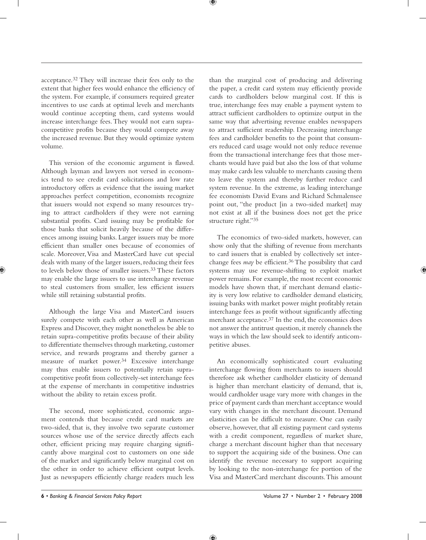acceptance. 32 They will increase their fees only to the extent that higher fees would enhance the efficiency of the system. For example, if consumers required greater incentives to use cards at optimal levels and merchants would continue accepting them, card systems would increase interchange fees. They would not earn supracompetitive profits because they would compete away the increased revenue. But they would optimize system volume.

This version of the economic argument is flawed. Although layman and lawyers not versed in economics tend to see credit card solicitations and low rate introductory offers as evidence that the issuing market approaches perfect competition, economists recognize that issuers would not expend so many resources trying to attract cardholders if they were not earning substantial profits. Card issuing may be profitable for those banks that solicit heavily because of the differences among issuing banks. Larger issuers may be more efficient than smaller ones because of economies of scale. Moreover, Visa and MasterCard have cut special deals with many of the larger issuers, reducing their fees to levels below those of smaller issuers. 33 These factors may enable the large issuers to use interchange revenue to steal customers from smaller, less efficient issuers while still retaining substantial profits.

Although the large Visa and MasterCard issuers surely compete with each other as well as American Express and Discover, they might nonetheless be able to retain supra-competitive profits because of their ability to differentiate themselves through marketing, customer service, and rewards programs and thereby garner a measure of market power.<sup>34</sup> Excessive interchange may thus enable issuers to potentially retain supracompetitive profit from collectively-set interchange fees at the expense of merchants in competitive industries without the ability to retain excess profit.

The second, more sophisticated, economic argument contends that because credit card markets are two-sided, that is, they involve two separate customer sources whose use of the service directly affects each other, efficient pricing may require charging significantly above marginal cost to customers on one side of the market and significantly below marginal cost on the other in order to achieve efficient output levels. Just as newspapers efficiently charge readers much less

than the marginal cost of producing and delivering the paper, a credit card system may efficiently provide cards to cardholders below marginal cost. If this is true, interchange fees may enable a payment system to attract sufficient cardholders to optimize output in the same way that advertising revenue enables newspapers to attract sufficient readership. Decreasing interchange fees and cardholder benefits to the point that consumers reduced card usage would not only reduce revenue from the transactional interchange fees that those merchants would have paid but also the loss of that volume may make cards less valuable to merchants causing them to leave the system and thereby further reduce card system revenue. In the extreme, as leading interchange fee economists David Evans and Richard Schmalensee point out, "the product [in a two-sided market] may not exist at all if the business does not get the price structure right."35

The economics of two-sided markets, however, can show only that the shifting of revenue from merchants to card issuers that is enabled by collectively set interchange fees *may* be efficient. 36 The possibility that card systems may use revenue-shifting to exploit market power remains. For example, the most recent economic models have shown that, if merchant demand elasticity is very low relative to cardholder demand elasticity, issuing banks with market power might profitably retain interchange fees as profit without significantly affecting merchant acceptance.<sup>37</sup> In the end, the economics does not answer the antitrust question, it merely channels the ways in which the law should seek to identify anticompetitive abuses.

An economically sophisticated court evaluating interchange flowing from merchants to issuers should therefore ask whether cardholder elasticity of demand is higher than merchant elasticity of demand, that is, would cardholder usage vary more with changes in the price of payment cards than merchant acceptance would vary with changes in the merchant discount. Demand elasticities can be difficult to measure. One can easily observe, however, that all existing payment card systems with a credit component, regardless of market share, charge a merchant discount higher than that necessary to support the acquiring side of the business. One can identify the revenue necessary to support acquiring by looking to the non-interchange fee portion of the Visa and MasterCard merchant discounts. This amount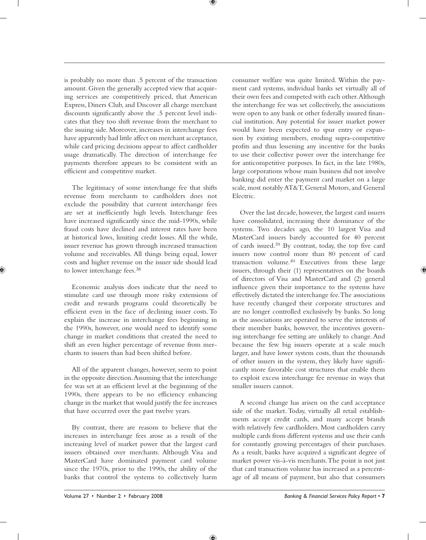♥

is probably no more than .5 percent of the transaction amount. Given the generally accepted view that acquiring services are competitively priced, that American Express, Diners Club, and Discover all charge merchant discounts significantly above the .5 percent level indicates that they too shift revenue from the merchant to the issuing side. Moreover, increases in interchange fees have apparently had little affect on merchant acceptance, while card pricing decisions appear to affect cardholder usage dramatically. The direction of interchange fee payments therefore appears to be consistent with an efficient and competitive market.

The legitimacy of some interchange fee that shifts revenue from merchants to cardholders does not exclude the possibility that current interchange fees are set at inefficiently high levels. Interchange fees have increased significantly since the mid-1990s, while fraud costs have declined and interest rates have been at historical lows, limiting credit losses. All the while, issuer revenue has grown through increased transaction volume and receivables. All things being equal, lower costs and higher revenue on the issuer side should lead to lower interchange fees. 38

Economic analysis does indicate that the need to stimulate card use through more risky extensions of credit and rewards programs could theoretically be efficient even in the face of declining issuer costs. To explain the increase in interchange fees beginning in the 1990s, however, one would need to identify some change in market conditions that created the need to shift an even higher percentage of revenue from merchants to issuers than had been shifted before.

All of the apparent changes, however, seem to point in the opposite direction. Assuming that the interchange fee was set at an efficient level at the beginning of the 1990s, there appears to be no efficiency enhancing change in the market that would justify the fee increases that have occurred over the past twelve years.

By contrast, there are reasons to believe that the increases in interchange fees arose as a result of the increasing level of market power that the largest card issuers obtained over merchants. Although Visa and MasterCard have dominated payment card volume since the 1970s, prior to the 1990s, the ability of the banks that control the systems to collectively harm

consumer welfare was quite limited. Within the payment card systems, individual banks set virtually all of their own fees and competed with each other. Although the interchange fee was set collectively, the associations were open to any bank or other federally insured financial institution. Any potential for issuer market power would have been expected to spur entry or expansion by existing members, eroding supra-competitive profits and thus lessening any incentive for the banks to use their collective power over the interchange fee for anticompetitive purposes. In fact, in the late 1980s, large corporations whose main business did not involve banking did enter the payment card market on a large scale, most notably AT&T, General Motors, and General Electric.

Over the last decade, however, the largest card issuers have consolidated, increasing their dominance of the systems. Two decades ago, the 10 largest Visa and MasterCard issuers barely accounted for 40 percent of cards issued. 39 By contrast, today, the top five card issuers now control more than 80 percent of card transaction volume. 40 Executives from these large issuers, through their (1) representatives on the boards of directors of Visa and MasterCard and (2) general influence given their importance to the systems have effectively dictated the interchange fee. The associations have recently changed their corporate structures and are no longer controlled exclusively by banks. So long as the associations are operated to serve the interests of their member banks, however, the incentives governing interchange fee setting are unlikely to change. And because the few big issuers operate at a scale much larger, and have lower system costs, than the thousands of other issuers in the system, they likely have significantly more favorable cost structures that enable them to exploit excess interchange fee revenue in ways that smaller issuers cannot.

A second change has arisen on the card acceptance side of the market. Today, virtually all retail establishments accept credit cards, and many accept brands with relatively few cardholders. Most cardholders carry multiple cards from different systems and use their cards for constantly growing percentages of their purchases. As a result, banks have acquired a significant degree of market power vis-à-vis merchants. The point is not just that card transaction volume has increased as a percentage of all means of payment, but also that consumers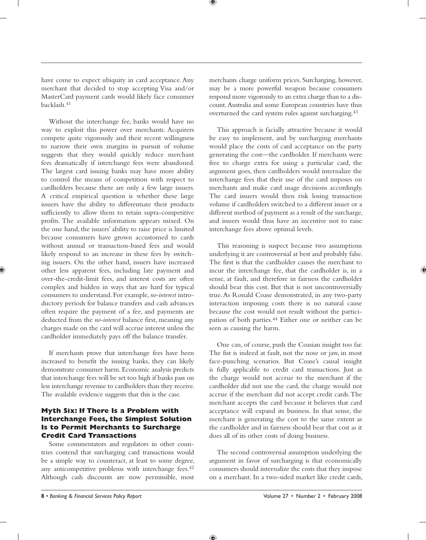have come to expect ubiquity in card acceptance. Any merchant that decided to stop accepting Visa and/or MasterCard payment cards would likely face consumer backlash. 41

Without the interchange fee, banks would have no way to exploit this power over merchants. Acquirers compete quite vigorously and their recent willingness to narrow their own margins in pursuit of volume suggests that they would quickly reduce merchant fees dramatically if interchange fees were abandoned. The largest card issuing banks may have more ability to control the means of competition with respect to cardholders because there are only a few large issuers. A critical empirical question is whether these large issuers have the ability to differentiate their products sufficiently to allow them to retain supra-competitive profits. The available information appears mixed. On the one hand, the issuers' ability to raise price is limited because consumers have grown accustomed to cards without annual or transaction-based fees and would likely respond to an increase in these fees by switching issuers. On the other hand, issuers have increased other less apparent fees, including late payment and over-the-credit-limit fees, and interest costs are often complex and hidden in ways that are hard for typical consumers to understand. For example, *no-interest* introductory periods for balance transfers and cash advances often require the payment of a fee, and payments are deducted from the *no-interest* balance first, meaning any charges made on the card will accrue interest unless the cardholder immediately pays off the balance transfer.

If merchants prove that interchange fees have been increased to benefit the issuing banks, they can likely demonstrate consumer harm. Economic analysis predicts that interchange fees will be set too high if banks pass on less interchange revenue to cardholders than they receive. The available evidence suggests that this is the case.

#### **Myth Six: If There Is a Problem with Interchange Fees, the Simplest Solution Is to Permit Merchants to Surcharge Credit Card Transactions**

Some commentators and regulators in other countries contend that surcharging card transactions would be a simple way to counteract, at least to some degree, any anticompetitive problems with interchange fees.<sup>42</sup> Although cash discounts are now permissible, most

merchants charge uniform prices. Surcharging, however, may be a more powerful weapon because consumers respond more vigorously to an extra charge than to a discount. Australia and some European countries have thus overturned the card system rules against surcharging. 43

This approach is facially attractive because it would be easy to implement, and by surcharging merchants would place the costs of card acceptance on the party generating the cost—the cardholder. If merchants were free to charge extra for using a particular card, the argument goes, then cardholders would internalize the interchange fees that their use of the card imposes on merchants and make card usage decisions accordingly. The card issuers would then risk losing transaction volume if cardholders switched to a different issuer or a different method of payment as a result of the surcharge, and issuers would thus have an incentive not to raise interchange fees above optimal levels.

This reasoning is suspect because two assumptions underlying it are controversial at best and probably false. The first is that the cardholder causes the merchant to incur the interchange fee, that the cardholder is, in a sense, at fault, and therefore in fairness the cardholder should bear this cost. But that is not uncontroversially true. As Ronald Coase demonstrated, in any two-party interaction imposing costs there is no natural cause because the cost would not result without the participation of both parties. 44 Either one or neither can be seen as causing the harm.

One can, of course, push the Coasian insight too far. The fist is indeed at fault, not the nose or jaw, in most face-punching scenarios. But Coase's causal insight is fully applicable to credit card transactions. Just as the charge would not accrue to the merchant if the cardholder did not use the card, the charge would not accrue if the merchant did not accept credit cards. The merchant accepts the card because it believes that card acceptance will expand its business. In that sense, the merchant is generating the cost to the same extent as the cardholder and in fairness should bear that cost as it does all of its other costs of doing business.

The second controversial assumption underlying the argument in favor of surcharging is that economically consumers should internalize the costs that they impose on a merchant. In a two-sided market like credit cards,

 4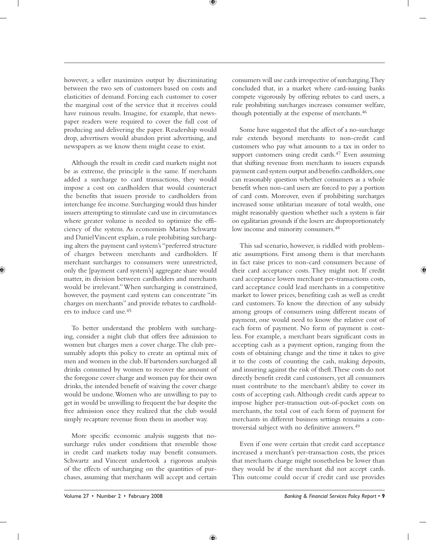however, a seller maximizes output by discriminating between the two sets of customers based on costs and elasticities of demand. Forcing each customer to cover the marginal cost of the service that it receives could have ruinous results. Imagine, for example, that newspaper readers were required to cover the full cost of producing and delivering the paper. Readership would drop, advertisers would abandon print advertising, and newspapers as we know them might cease to exist.

Although the result in credit card markets might not be as extreme, the principle is the same. If merchants added a surcharge to card transactions, they would impose a cost on cardholders that would counteract the benefits that issuers provide to cardholders from interchange fee income. Surcharging would thus hinder issuers attempting to stimulate card use in circumstances where greater volume is needed to optimize the efficiency of the system. As economists Marius Schwartz and Daniel Vincent explain, a rule prohibiting surcharging alters the payment card system's "preferred structure of charges between merchants and cardholders. If merchant surcharges to consumers were unrestricted, only the [payment card system's] aggregate share would matter, its division between cardholders and merchants would be irrelevant." When surcharging is constrained, however, the payment card system can concentrate "its charges on merchants" and provide rebates to cardholders to induce card use. 45

To better understand the problem with surcharging, consider a night club that offers free admission to women but charges men a cover charge. The club presumably adopts this policy to create an optimal mix of men and women in the club. If bartenders surcharged all drinks consumed by women to recover the amount of the foregone cover charge and women pay for their own drinks, the intended benefit of waiving the cover charge would be undone. Women who are unwilling to pay to get in would be unwilling to frequent the bar despite the free admission once they realized that the club would simply recapture revenue from them in another way.

More specific economic analysis suggests that nosurcharge rules under conditions that resemble those in credit card markets today may benefit consumers. Schwartz and Vincent undertook a rigorous analysis of the effects of surcharging on the quantities of purchases, assuming that merchants will accept and certain

consumers will use cards irrespective of surcharging. They concluded that, in a market where card-issuing banks compete vigorously by offering rebates to card users, a rule prohibiting surcharges increases consumer welfare, though potentially at the expense of merchants. 46

Some have suggested that the affect of a no-surcharge rule extends beyond merchants to non-credit card customers who pay what amounts to a tax in order to support customers using credit cards.<sup>47</sup> Even assuming that shifting revenue from merchants to issuers expands payment card system output and benefits cardholders, one can reasonably question whether consumers as a whole benefit when non-card users are forced to pay a portion of card costs. Moreover, even if prohibiting surcharges increased some utilitarian measure of total wealth, one might reasonably question whether such a system is fair on egalitarian grounds if the losers are disproportionately low income and minority consumers. 48

This sad scenario, however, is riddled with problematic assumptions. First among them is that merchants in fact raise prices to non-card consumers because of their card acceptance costs. They might not. If credit card acceptance lowers merchant per-transactions costs, card acceptance could lead merchants in a competitive market to lower prices, benefiting cash as well as credit card customers. To know the direction of any subsidy among groups of consumers using different means of payment, one would need to know the relative cost of each form of payment. No form of payment is costless. For example, a merchant bears significant costs in accepting cash as a payment option, ranging from the costs of obtaining change and the time it takes to give it to the costs of counting the cash, making deposits, and insuring against the risk of theft. These costs do not directly benefit credit card customers, yet all consumers must contribute to the merchant's ability to cover its costs of accepting cash. Although credit cards appear to impose higher per-transaction out-of-pocket costs on merchants, the total cost of each form of payment for merchants in different business settings remains a controversial subject with no definitive answers. 49

Even if one were certain that credit card acceptance increased a merchant's per-transaction costs, the prices that merchants charge might nonetheless be lower than they would be if the merchant did not accept cards. This outcome could occur if credit card use provides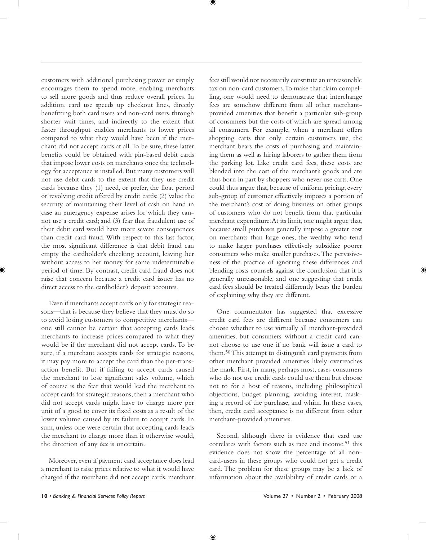customers with additional purchasing power or simply encourages them to spend more, enabling merchants to sell more goods and thus reduce overall prices. In addition, card use speeds up checkout lines, directly benefitting both card users and non-card users, through shorter wait times, and indirectly to the extent that faster throughput enables merchants to lower prices compared to what they would have been if the merchant did not accept cards at all. To be sure, these latter benefits could be obtained with pin-based debit cards that impose lower costs on merchants once the technology for acceptance is installed. But many customers will not use debit cards to the extent that they use credit cards because they (1) need, or prefer, the float period or revolving credit offered by credit cards; (2) value the security of maintaining their level of cash on hand in case an emergency expense arises for which they cannot use a credit card; and (3) fear that fraudulent use of their debit card would have more severe consequences than credit card fraud. With respect to this last factor, the most significant difference is that debit fraud can empty the cardholder's checking account, leaving her without access to her money for some indeterminable period of time. By contrast, credit card fraud does not raise that concern because a credit card issuer has no direct access to the cardholder's deposit accounts.

Even if merchants accept cards only for strategic reasons—that is because they believe that they must do so to avoid losing customers to competitive merchants one still cannot be certain that accepting cards leads merchants to increase prices compared to what they would be if the merchant did not accept cards. To be sure, if a merchant accepts cards for strategic reasons, it may pay more to accept the card than the per-transaction benefit. But if failing to accept cards caused the merchant to lose significant sales volume, which of course is the fear that would lead the merchant to accept cards for strategic reasons, then a merchant who did not accept cards might have to charge more per unit of a good to cover its fixed costs as a result of the lower volume caused by its failure to accept cards. In sum, unless one were certain that accepting cards leads the merchant to charge more than it otherwise would, the direction of any *tax* is uncertain.

Moreover, even if payment card acceptance does lead a merchant to raise prices relative to what it would have charged if the merchant did not accept cards, merchant

fees still would not necessarily constitute an unreasonable tax on non-card customers. To make that claim compelling, one would need to demonstrate that interchange fees are somehow different from all other merchantprovided amenities that benefit a particular sub-group of consumers but the costs of which are spread among all consumers. For example, when a merchant offers shopping carts that only certain customers use, the merchant bears the costs of purchasing and maintaining them as well as hiring laborers to gather them from the parking lot. Like credit card fees, these costs are blended into the cost of the merchant's goods and are thus born in part by shoppers who never use carts. One could thus argue that, because of uniform pricing, every sub-group of customer effectively imposes a portion of the merchant's cost of doing business on other groups of customers who do not benefit from that particular merchant expenditure. At its limit, one might argue that, because small purchases generally impose a greater cost on merchants than large ones, the wealthy who tend to make larger purchases effectively subsidize poorer consumers who make smaller purchases. The pervasiveness of the practice of ignoring these differences and blending costs counsels against the conclusion that it is generally unreasonable, and one suggesting that credit card fees should be treated differently bears the burden of explaining why they are different.

One commentator has suggested that excessive credit card fees are different because consumers can choose whether to use virtually all merchant-provided amenities, but consumers without a credit card cannot choose to use one if no bank will issue a card to them. 50 This attempt to distinguish card payments from other merchant provided amenities likely overreaches the mark. First, in many, perhaps most, cases consumers who do not use credit cards could use them but choose not to for a host of reasons, including philosophical objections, budget planning, avoiding interest, masking a record of the purchase, and whim. In these cases, then, credit card acceptance is no different from other merchant-provided amenities.

Second, although there is evidence that card use correlates with factors such as race and income,<sup>51</sup> this evidence does not show the percentage of all noncard-users in these groups who could not get a credit card. The problem for these groups may be a lack of information about the availability of credit cards or a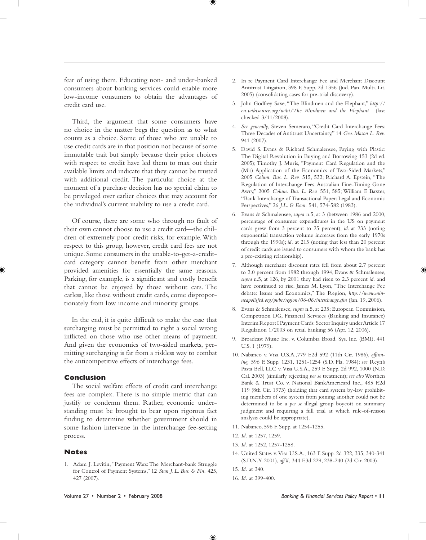fear of using them. Educating non- and under-banked consumers about banking services could enable more low-income consumers to obtain the advantages of credit card use.

 $^\circledast$ 

Third, the argument that some consumers have no choice in the matter begs the question as to what counts as a choice. Some of those who are unable to use credit cards are in that position not because of some immutable trait but simply because their prior choices with respect to credit have led them to max out their available limits and indicate that they cannot be trusted with additional credit. The particular choice at the moment of a purchase decision has no special claim to be privileged over earlier choices that may account for the individual's current inability to use a credit card.

Of course, there are some who through no fault of their own cannot choose to use a credit card—the children of extremely poor credit risks, for example. With respect to this group, however, credit card fees are not unique. Some consumers in the unable-to-get-a-creditcard category cannot benefit from other merchant provided amenities for essentially the same reasons. Parking, for example, is a significant and costly benefit that cannot be enjoyed by those without cars. The carless, like those without credit cards, come disproportionately from low income and minority groups.

In the end, it is quite difficult to make the case that surcharging must be permitted to right a social wrong inflicted on those who use other means of payment. And given the economics of two-sided markets, permitting surcharging is far from a riskless way to combat the anticompetitive effects of interchange fees.

#### **Conclusion**

The social welfare effects of credit card interchange fees are complex. There is no simple metric that can justify or condemn them. Rather, economic understanding must be brought to bear upon rigorous fact finding to determine whether government should in some fashion intervene in the interchange fee-setting process.

#### **Notes**

1. Adam J. Levitin, "Payment Wars: The Merchant-bank Struggle for Control of Payment Systems," 12 *Stan J. L. Bus. & Fin.* 425, 427 (2007).

- 2. In re Payment Card Interchange Fee and Merchant Discount Antitrust Litigation, 398 F. Supp. 2d 1356 (Jud. Pan. Multi. Lit. 2005) (consolidating cases for pre-trial discovery).
- 3. John Godfrey Saxe, "The Blindmen and the Elephant," *http:// en.wikisource.org/wiki/The\_Blindmen\_and\_the\_Elephant* (last checked 3/11/2008).
- 4. *See generally,* Steven Semeraro, "Credit Card Interchange Fees: Three Decades of Antitrust Uncertainty," 14 *Geo. Mason L. Rev.* 941 (2007).
- 5. David S. Evans & Richard Schmalensee, Paying with Plastic: The Digital Revolution in Buying and Borrowing 153 (2d ed. 2005); Timothy J. Muris, "Payment Card Regulation and the (Mis) Application of the Economics of Two-Sided Markets," 2005 *Colum. Bus. L. Rev.* 515, 532; Richard A. Epstein, "The Regulation of Interchange Fees: Australian Fine-Tuning Gone Awry," 2005 *Colum. Bus. L. Rev.* 551, 585; William F. Baxter, "Bank Interchange of Transactional Paper: Legal and Economic Perspectives," 26 *J.L. & Econ.* 541, 574-582 (1983).
- 6. Evans & Schmalensee, *supra* n.5, at 3 (between 1986 and 2000, percentage of consumer expenditures in the US on payment cards grew from 3 percent to 25 percent); *id*. at 233 (noting exponential transaction volume increases from the early 1970s through the 1990s); *id.* at 215 (noting that less than 20 percent of credit cards are issued to consumers with whom the bank has a pre-existing relationship).
- 7. Although merchant discount rates fell from about 2.7 percent to 2.0 percent from 1982 through 1994, Evans & Schmalensee, *supra* n.5, at 126, by 2001 they had risen to 2.3 percent *id.* and have continued to rise. James M. Lyon, "The Interchange Fee debate: Issues and Economics," The Region, *http://www.minneapolisfed.org/pubs/region/06-06/interchange.cfm* (Jan. 19, 2006).
- 8. Evans & Schmalensee, *supra* n.5, at 235; European Commission, Competition DG, Financial Services (Banking and Insurance) Interim Report I Payment Cards: Sector Inquiry under Article 17 Regulation 1/2003 on retail banking 56 (Apr. 12, 2006).
- 9. Broadcast Music Inc. v. Columbia Broad. Sys. Inc. (BMI), 441 U.S. 1 (1979).
- 10. Nabanco v. Visa U.S.A., 779 F.2d 592 (11th Cir. 1986), *affirming,* 596 F. Supp. 1231, 1251-1254 (S.D. Fla. 1984); *see* Reyn's Pasta Bell, LLC v. Visa U.S.A., 259 F. Supp. 2d 992, 1000 (N.D. Cal. 2003) (similarly rejecting *per se* treatment); *see also* Worthen Bank & Trust Co. v. National BankAmericard Inc., 485 F.2d 119 (8th Cir. 1973) (holding that card system by-law prohibiting members of one system from joining another could not be determined to be a *per se* illegal group boycott on summary judgment and requiring a full trial at which rule-of-reason analysis could be appropriate).
- 11. Nabanco, 596 F. Supp. at 1254-1255.
- 12. *Id.* at 1257, 1259.
- 13. *Id.* at 1252, 1257-1258.
- 14. United States v. Visa U.S.A., 163 F. Supp. 2d 322, 335, 340-341 (S.D.N.Y. 2001), *aff'd,* 344 F.3d 229, 238-240 (2d Cir. 2003).
- 15. *Id.* at 340.
- 16. *Id.* at 399-400.